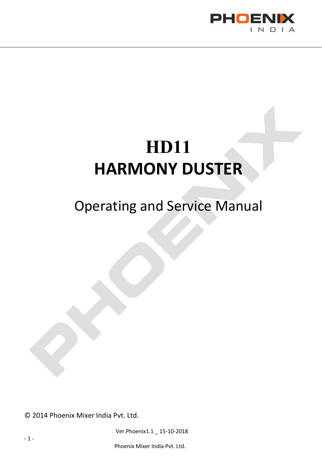

# HD11 HARMONY DUSTER

# Operating and Service Manual

© 2014 Phoenix Mixer India Pvt. Ltd.

Ver.Phoenix1.1 \_ 15-10-2018

- 1 -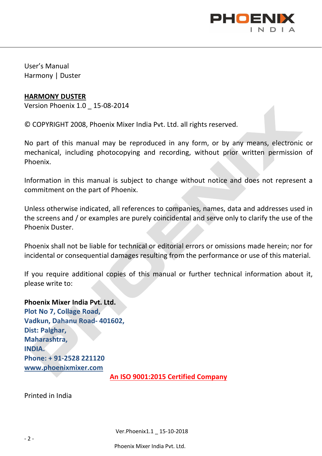

User's Manual Harmony | Duster

#### HARMONY DUSTER

Version Phoenix 1.0 \_ 15-08-2014

© COPYRIGHT 2008, Phoenix Mixer India Pvt. Ltd. all rights reserved.

No part of this manual may be reproduced in any form, or by any means, electronic or mechanical, including photocopying and recording, without prior written permission of Phoenix.

Information in this manual is subject to change without notice and does not represent a commitment on the part of Phoenix.

Unless otherwise indicated, all references to companies, names, data and addresses used in the screens and / or examples are purely coincidental and serve only to clarify the use of the Phoenix Duster.

Phoenix shall not be liable for technical or editorial errors or omissions made herein; nor for incidental or consequential damages resulting from the performance or use of this material.

If you require additional copies of this manual or further technical information about it, please write to:

Phoenix Mixer India Pvt. Ltd. Plot No 7, Collage Road, Vadkun, Dahanu Road- 401602, Dist: Palghar, Maharashtra, INDIA. Phone: + 91-2528 221120 www.phoenixmixer.com

An ISO 9001:2015 Certified Company

Printed in India

Ver.Phoenix1.1 \_ 15-10-2018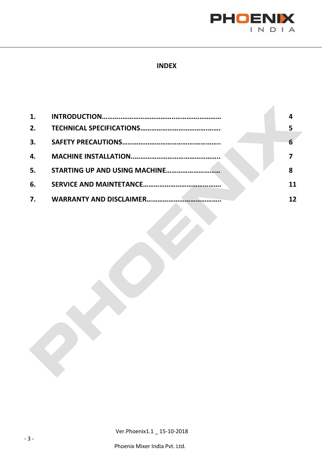

 $\mathcal{A}$ 

#### INDEX

| 1. |   |
|----|---|
| 2. |   |
| 3. |   |
| 4. |   |
| 5. | 8 |
| 6. |   |
| 7. |   |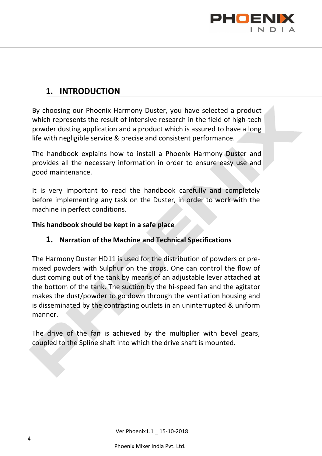

### 1. INTRODUCTION

By choosing our Phoenix Harmony Duster, you have selected a product which represents the result of intensive research in the field of high-tech powder dusting application and a product which is assured to have a long life with negligible service & precise and consistent performance.

The handbook explains how to install a Phoenix Harmony Duster and provides all the necessary information in order to ensure easy use and good maintenance.

It is very important to read the handbook carefully and completely before implementing any task on the Duster, in order to work with the machine in perfect conditions.

#### This handbook should be kept in a safe place

#### 1. Narration of the Machine and Technical Specifications

The Harmony Duster HD11 is used for the distribution of powders or premixed powders with Sulphur on the crops. One can control the flow of dust coming out of the tank by means of an adjustable lever attached at the bottom of the tank. The suction by the hi-speed fan and the agitator makes the dust/powder to go down through the ventilation housing and is disseminated by the contrasting outlets in an uninterrupted & uniform manner.

The drive of the fan is achieved by the multiplier with bevel gears, coupled to the Spline shaft into which the drive shaft is mounted.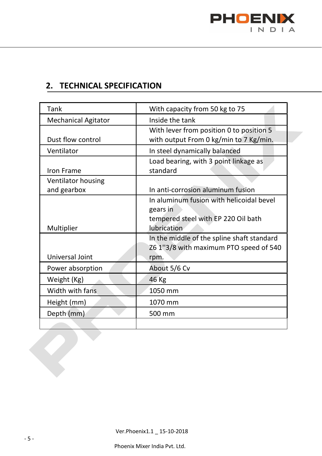

### 2. TECHNICAL SPECIFICATION

| Tank                       | With capacity from 50 kg to 75             |
|----------------------------|--------------------------------------------|
| <b>Mechanical Agitator</b> | Inside the tank                            |
|                            |                                            |
| Dust flow control          | With lever from position 0 to position 5   |
|                            | with output From 0 kg/min to 7 Kg/min.     |
| Ventilator                 | In steel dynamically balanced              |
|                            | Load bearing, with 3 point linkage as      |
| Iron Frame                 | standard                                   |
| Ventilator housing         |                                            |
| and gearbox                | In anti-corrosion aluminum fusion          |
|                            | In aluminum fusion with helicoidal bevel   |
|                            | gears in                                   |
|                            | tempered steel with EP 220 Oil bath        |
| Multiplier                 | lubrication                                |
|                            | In the middle of the spline shaft standard |
|                            | Z6 1"3/8 with maximum PTO speed of 540     |
| Universal Joint            | rpm.                                       |
| Power absorption           | About 5/6 Cv                               |
| Weight (Kg)                | 46 Kg                                      |
| Width with fans            | 1050 mm                                    |
| Height (mm)                | 1070 mm                                    |
| Depth (mm)                 | 500 mm                                     |
|                            |                                            |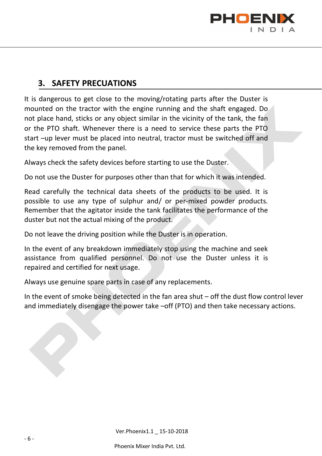

#### 3. SAFETY PRECUATIONS

It is dangerous to get close to the moving/rotating parts after the Duster is mounted on the tractor with the engine running and the shaft engaged. Do not place hand, sticks or any object similar in the vicinity of the tank, the fan or the PTO shaft. Whenever there is a need to service these parts the PTO start –up lever must be placed into neutral, tractor must be switched off and the key removed from the panel.

Always check the safety devices before starting to use the Duster.

Do not use the Duster for purposes other than that for which it was intended.

Read carefully the technical data sheets of the products to be used. It is possible to use any type of sulphur and/ or per-mixed powder products. Remember that the agitator inside the tank facilitates the performance of the duster but not the actual mixing of the product.

Do not leave the driving position while the Duster is in operation.

In the event of any breakdown immediately stop using the machine and seek assistance from qualified personnel. Do not use the Duster unless it is repaired and certified for next usage.

Always use genuine spare parts in case of any replacements.

In the event of smoke being detected in the fan area shut – off the dust flow control lever and immediately disengage the power take –off (PTO) and then take necessary actions.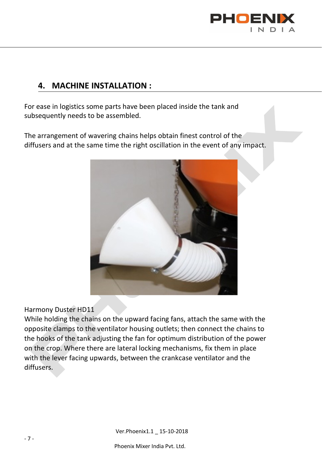

## 4. MACHINE INSTALLATION :

For ease in logistics some parts have been placed inside the tank and subsequently needs to be assembled.

The arrangement of wavering chains helps obtain finest control of the diffusers and at the same time the right oscillation in the event of any impact.



Harmony Duster HD11

While holding the chains on the upward facing fans, attach the same with the opposite clamps to the ventilator housing outlets; then connect the chains to the hooks of the tank adjusting the fan for optimum distribution of the power on the crop. Where there are lateral locking mechanisms, fix them in place with the lever facing upwards, between the crankcase ventilator and the diffusers.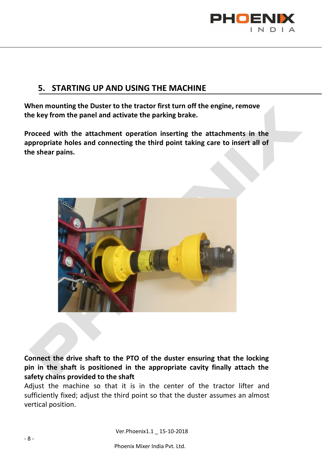

#### 5. STARTING UP AND USING THE MACHINE

When mounting the Duster to the tractor first turn off the engine, remove the key from the panel and activate the parking brake.

Proceed with the attachment operation inserting the attachments in the appropriate holes and connecting the third point taking care to insert all of the shear pains.



Connect the drive shaft to the PTO of the duster ensuring that the locking pin in the shaft is positioned in the appropriate cavity finally attach the safety chains provided to the shaft

Adjust the machine so that it is in the center of the tractor lifter and sufficiently fixed; adjust the third point so that the duster assumes an almost vertical position.

Ver.Phoenix1.1 \_ 15-10-2018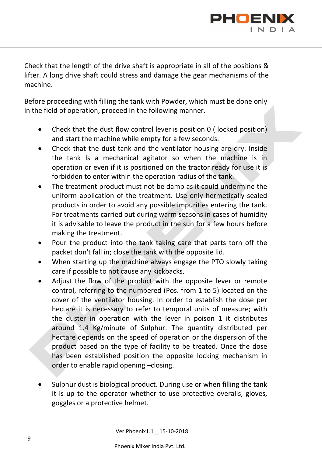

Check that the length of the drive shaft is appropriate in all of the positions & lifter. A long drive shaft could stress and damage the gear mechanisms of the machine.

Before proceeding with filling the tank with Powder, which must be done only in the field of operation, proceed in the following manner.

- Check that the dust flow control lever is position 0 ( locked position) and start the machine while empty for a few seconds.
- Check that the dust tank and the ventilator housing are dry. Inside the tank Is a mechanical agitator so when the machine is in operation or even if it is positioned on the tractor ready for use it is forbidden to enter within the operation radius of the tank.
- The treatment product must not be damp as it could undermine the uniform application of the treatment. Use only hermetically sealed products in order to avoid any possible impurities entering the tank. For treatments carried out during warm seasons in cases of humidity it is advisable to leave the product in the sun for a few hours before making the treatment.
- Pour the product into the tank taking care that parts torn off the packet don't fall in; close the tank with the opposite lid.
- When starting up the machine always engage the PTO slowly taking care if possible to not cause any kickbacks.
- Adjust the flow of the product with the opposite lever or remote control, referring to the numbered (Pos. from 1 to 5) located on the cover of the ventilator housing. In order to establish the dose per hectare it is necessary to refer to temporal units of measure; with the duster in operation with the lever in poison 1 it distributes around 1.4 Kg/minute of Sulphur. The quantity distributed per hectare depends on the speed of operation or the dispersion of the product based on the type of facility to be treated. Once the dose has been established position the opposite locking mechanism in order to enable rapid opening –closing.
- Sulphur dust is biological product. During use or when filling the tank it is up to the operator whether to use protective overalls, gloves, goggles or a protective helmet.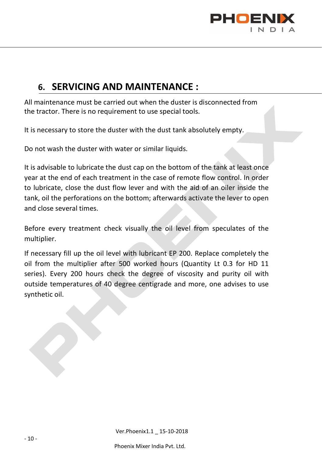

# 6. SERVICING AND MAINTENANCE :

All maintenance must be carried out when the duster is disconnected from the tractor. There is no requirement to use special tools.

It is necessary to store the duster with the dust tank absolutely empty.

Do not wash the duster with water or similar liquids.

It is advisable to lubricate the dust cap on the bottom of the tank at least once year at the end of each treatment in the case of remote flow control. In order to lubricate, close the dust flow lever and with the aid of an oiler inside the tank, oil the perforations on the bottom; afterwards activate the lever to open and close several times.

Before every treatment check visually the oil level from speculates of the multiplier.

If necessary fill up the oil level with lubricant EP 200. Replace completely the oil from the multiplier after 500 worked hours (Quantity Lt 0.3 for HD 11 series). Every 200 hours check the degree of viscosity and purity oil with outside temperatures of 40 degree centigrade and more, one advises to use synthetic oil.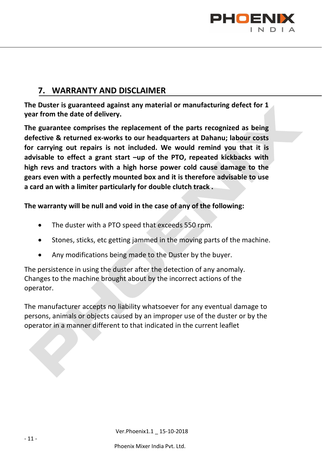

### 7. WARRANTY AND DISCLAIMER

The Duster is guaranteed against any material or manufacturing defect for 1 year from the date of delivery.

The guarantee comprises the replacement of the parts recognized as being defective & returned ex-works to our headquarters at Dahanu; labour costs for carrying out repairs is not included. We would remind you that it is advisable to effect a grant start –up of the PTO, repeated kickbacks with high revs and tractors with a high horse power cold cause damage to the gears even with a perfectly mounted box and it is therefore advisable to use a card an with a limiter particularly for double clutch track .

The warranty will be null and void in the case of any of the following:

- The duster with a PTO speed that exceeds 550 rpm.
- Stones, sticks, etc getting jammed in the moving parts of the machine.
- Any modifications being made to the Duster by the buyer.

The persistence in using the duster after the detection of any anomaly. Changes to the machine brought about by the incorrect actions of the operator.

The manufacturer accepts no liability whatsoever for any eventual damage to persons, animals or objects caused by an improper use of the duster or by the operator in a manner different to that indicated in the current leaflet